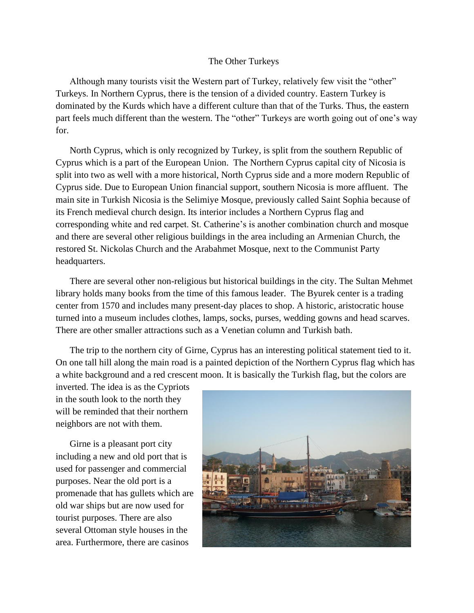## The Other Turkeys

Although many tourists visit the Western part of Turkey, relatively few visit the "other" Turkeys. In Northern Cyprus, there is the tension of a divided country. Eastern Turkey is dominated by the Kurds which have a different culture than that of the Turks. Thus, the eastern part feels much different than the western. The "other" Turkeys are worth going out of one's way for.

North Cyprus, which is only recognized by Turkey, is split from the southern Republic of Cyprus which is a part of the European Union. The Northern Cyprus capital city of Nicosia is split into two as well with a more historical, North Cyprus side and a more modern Republic of Cyprus side. Due to European Union financial support, southern Nicosia is more affluent. The main site in Turkish Nicosia is the Selimiye Mosque, previously called Saint Sophia because of its French medieval church design. Its interior includes a Northern Cyprus flag and corresponding white and red carpet. St. Catherine's is another combination church and mosque and there are several other religious buildings in the area including an Armenian Church, the restored St. Nickolas Church and the Arabahmet Mosque, next to the Communist Party headquarters.

There are several other non-religious but historical buildings in the city. The Sultan Mehmet library holds many books from the time of this famous leader. The Byurek center is a trading center from 1570 and includes many present-day places to shop. A historic, aristocratic house turned into a museum includes clothes, lamps, socks, purses, wedding gowns and head scarves. There are other smaller attractions such as a Venetian column and Turkish bath.

The trip to the northern city of Girne, Cyprus has an interesting political statement tied to it. On one tall hill along the main road is a painted depiction of the Northern Cyprus flag which has a white background and a red crescent moon. It is basically the Turkish flag, but the colors are

inverted. The idea is as the Cypriots in the south look to the north they will be reminded that their northern neighbors are not with them.

Girne is a pleasant port city including a new and old port that is used for passenger and commercial purposes. Near the old port is a promenade that has gullets which are old war ships but are now used for tourist purposes. There are also several Ottoman style houses in the area. Furthermore, there are casinos

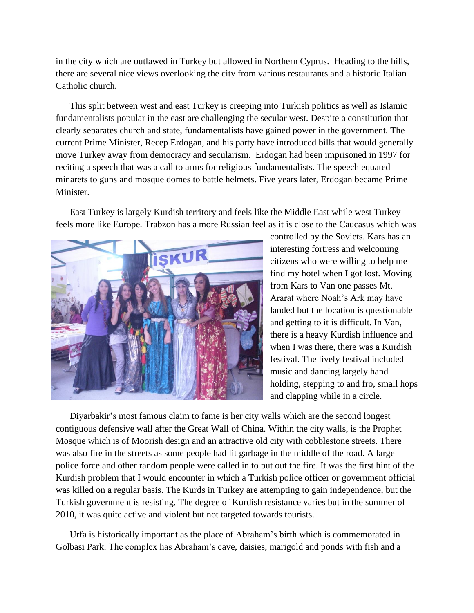in the city which are outlawed in Turkey but allowed in Northern Cyprus. Heading to the hills, there are several nice views overlooking the city from various restaurants and a historic Italian Catholic church.

This split between west and east Turkey is creeping into Turkish politics as well as Islamic fundamentalists popular in the east are challenging the secular west. Despite a constitution that clearly separates church and state, fundamentalists have gained power in the government. The current Prime Minister, Recep Erdogan, and his party have introduced bills that would generally move Turkey away from democracy and secularism. Erdogan had been imprisoned in 1997 for reciting a speech that was a call to arms for religious fundamentalists. The speech equated minarets to guns and mosque domes to battle helmets. Five years later, Erdogan became Prime Minister.

East Turkey is largely Kurdish territory and feels like the Middle East while west Turkey feels more like Europe. Trabzon has a more Russian feel as it is close to the Caucasus which was



controlled by the Soviets. Kars has an interesting fortress and welcoming citizens who were willing to help me find my hotel when I got lost. Moving from Kars to Van one passes Mt. Ararat where Noah's Ark may have landed but the location is questionable and getting to it is difficult. In Van, there is a heavy Kurdish influence and when I was there, there was a Kurdish festival. The lively festival included music and dancing largely hand holding, stepping to and fro, small hops and clapping while in a circle.

Diyarbakir's most famous claim to fame is her city walls which are the second longest contiguous defensive wall after the Great Wall of China. Within the city walls, is the Prophet Mosque which is of Moorish design and an attractive old city with cobblestone streets. There was also fire in the streets as some people had lit garbage in the middle of the road. A large police force and other random people were called in to put out the fire. It was the first hint of the Kurdish problem that I would encounter in which a Turkish police officer or government official was killed on a regular basis. The Kurds in Turkey are attempting to gain independence, but the Turkish government is resisting. The degree of Kurdish resistance varies but in the summer of 2010, it was quite active and violent but not targeted towards tourists.

Urfa is historically important as the place of Abraham's birth which is commemorated in Golbasi Park. The complex has Abraham's cave, daisies, marigold and ponds with fish and a